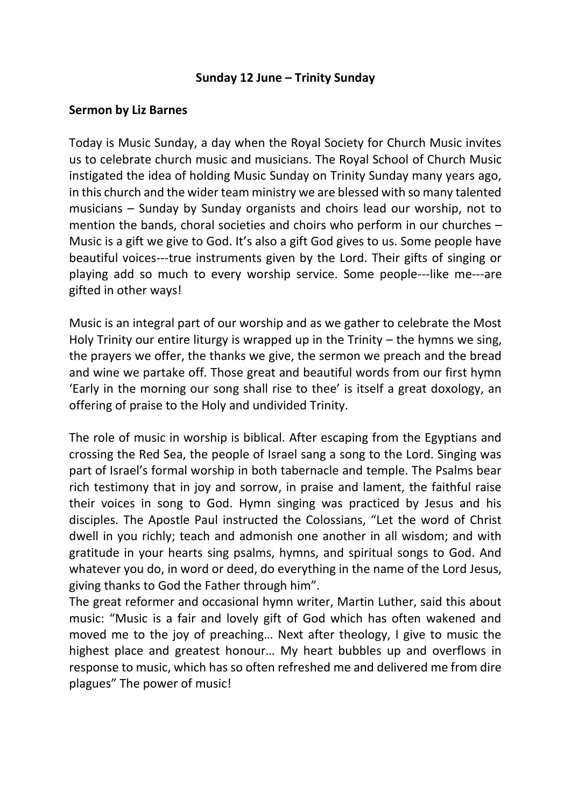## **Sunday 12 June – Trinity Sunday**

## **Sermon by Liz Barnes**

Today is Music Sunday, a day when the Royal Society for Church Music invites us to celebrate church music and musicians. The Royal School of Church Music instigated the idea of holding Music Sunday on Trinity Sunday many years ago, in this church and the wider team ministry we are blessed with so many talented musicians – Sunday by Sunday organists and choirs lead our worship, not to mention the bands, choral societies and choirs who perform in our churches – Music is a gift we give to God. It's also a gift God gives to us. Some people have beautiful voices---true instruments given by the Lord. Their gifts of singing or playing add so much to every worship service. Some people---like me---are gifted in other ways!

Music is an integral part of our worship and as we gather to celebrate the Most Holy Trinity our entire liturgy is wrapped up in the Trinity – the hymns we sing, the prayers we offer, the thanks we give, the sermon we preach and the bread and wine we partake off. Those great and beautiful words from our first hymn 'Early in the morning our song shall rise to thee' is itself a great doxology, an offering of praise to the Holy and undivided Trinity.

The role of music in worship is biblical. After escaping from the Egyptians and crossing the Red Sea, the people of Israel sang a song to the Lord. Singing was part of Israel's formal worship in both tabernacle and temple. The Psalms bear rich testimony that in joy and sorrow, in praise and lament, the faithful raise their voices in song to God. Hymn singing was practiced by Jesus and his disciples. The Apostle Paul instructed the Colossians, "Let the word of Christ dwell in you richly; teach and admonish one another in all wisdom; and with gratitude in your hearts sing psalms, hymns, and spiritual songs to God. And whatever you do, in word or deed, do everything in the name of the Lord Jesus, giving thanks to God the Father through him".

The great reformer and occasional hymn writer, Martin Luther, said this about music: "Music is a fair and lovely gift of God which has often wakened and moved me to the joy of preaching… Next after theology, I give to music the highest place and greatest honour… My heart bubbles up and overflows in response to music, which has so often refreshed me and delivered me from dire plagues" The power of music!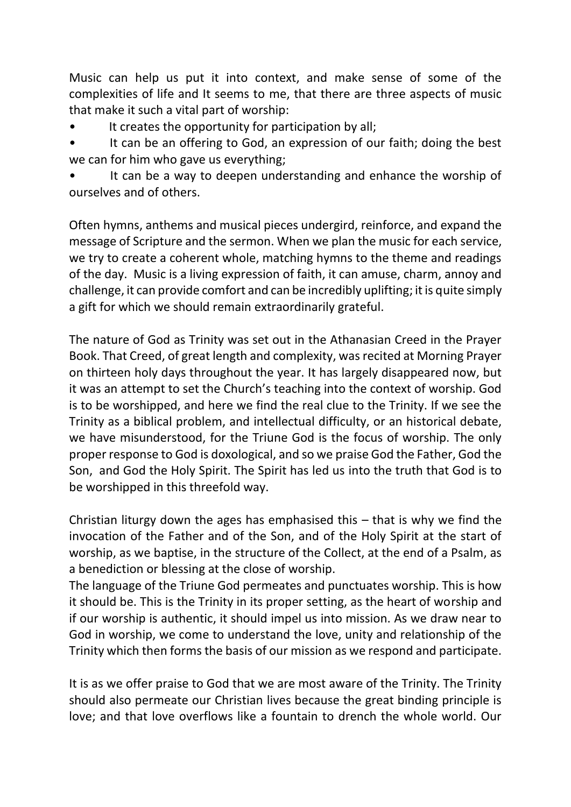Music can help us put it into context, and make sense of some of the complexities of life and It seems to me, that there are three aspects of music that make it such a vital part of worship:

It creates the opportunity for participation by all;

It can be an offering to God, an expression of our faith; doing the best we can for him who gave us everything;

It can be a way to deepen understanding and enhance the worship of ourselves and of others.

Often hymns, anthems and musical pieces undergird, reinforce, and expand the message of Scripture and the sermon. When we plan the music for each service, we try to create a coherent whole, matching hymns to the theme and readings of the day. Music is a living expression of faith, it can amuse, charm, annoy and challenge, it can provide comfort and can be incredibly uplifting; it is quite simply a gift for which we should remain extraordinarily grateful.

The nature of God as Trinity was set out in the Athanasian Creed in the Prayer Book. That Creed, of great length and complexity, was recited at Morning Prayer on thirteen holy days throughout the year. It has largely disappeared now, but it was an attempt to set the Church's teaching into the context of worship. God is to be worshipped, and here we find the real clue to the Trinity. If we see the Trinity as a biblical problem, and intellectual difficulty, or an historical debate, we have misunderstood, for the Triune God is the focus of worship. The only proper response to God is doxological, and so we praise God the Father, God the Son, and God the Holy Spirit. The Spirit has led us into the truth that God is to be worshipped in this threefold way.

Christian liturgy down the ages has emphasised this  $-$  that is why we find the invocation of the Father and of the Son, and of the Holy Spirit at the start of worship, as we baptise, in the structure of the Collect, at the end of a Psalm, as a benediction or blessing at the close of worship.

The language of the Triune God permeates and punctuates worship. This is how it should be. This is the Trinity in its proper setting, as the heart of worship and if our worship is authentic, it should impel us into mission. As we draw near to God in worship, we come to understand the love, unity and relationship of the Trinity which then forms the basis of our mission as we respond and participate.

It is as we offer praise to God that we are most aware of the Trinity. The Trinity should also permeate our Christian lives because the great binding principle is love; and that love overflows like a fountain to drench the whole world. Our